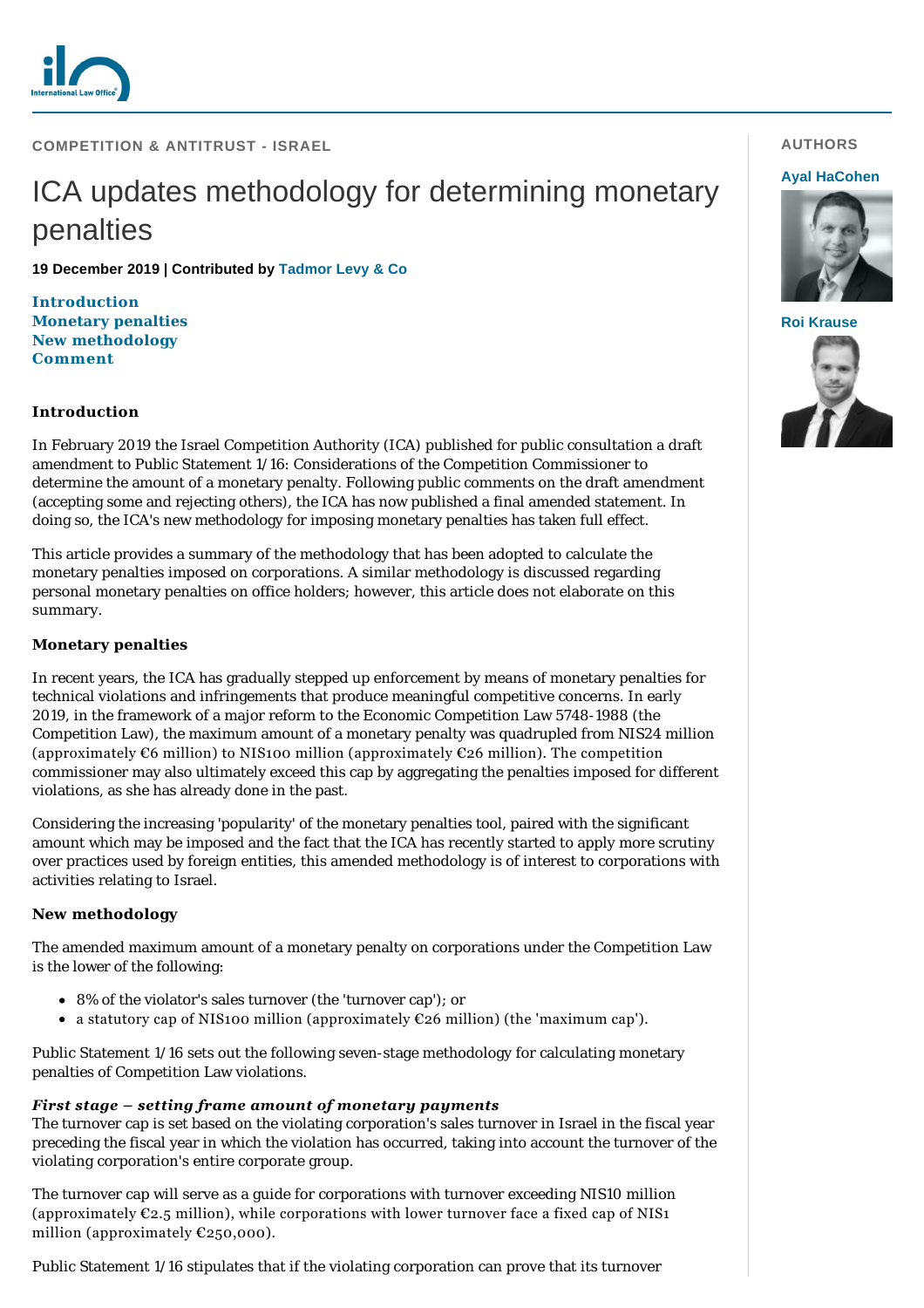

**COMPETITION & ANTITRUST - ISRAEL**

# ICA updates methodology for determining monetary penalties

**19 December 2019 | Contributed by [Tadmor Levy & Co](https://www.internationallawoffice.com/gesr.ashx?l=8PV69PG)**

**[Introduct](#page-2-0)[ion](#page-0-0) [Monetary penalties](#page-0-1) [New methodology](#page-0-2) Comment**

## <span id="page-0-0"></span>**Introduction**

In February 2019 the Israel Competition Authority (ICA) published for public consultation a draft amendment to Public Statement 1/16: Considerations of the Competition Commissioner to determine the amount of a monetary penalty. Following public comments on the draft amendment (accepting some and rejecting others), the ICA has now published a final amended statement. In doing so, the ICA's new methodology for imposing monetary penalties has taken full effect.

This article provides a summary of the methodology that has been adopted to calculate the monetary penalties imposed on corporations. A similar methodology is discussed regarding personal monetary penalties on office holders; however, this article does not elaborate on this summary.

#### <span id="page-0-1"></span>**Monetary penalties**

In recent years, the ICA has gradually stepped up enforcement by means of monetary penalties for technical violations and infringements that produce meaningful competitive concerns. In early 2019, in the framework of a major reform to the Economic Competition Law 5748-1988 (the Competition Law), the maximum amount of a monetary penalty was quadrupled from NIS24 million (approximately  $\mathfrak{C}6$  million) to NIS100 million (approximately  $\mathfrak{C}26$  million). The competition commissioner may also ultimately exceed this cap by aggregating the penalties imposed for different violations, as she has already done in the past.

Considering the increasing 'popularity' of the monetary penalties tool, paired with the significant amount which may be imposed and the fact that the ICA has recently started to apply more scrutiny over practices used by foreign entities, this amended methodology is of interest to corporations with activities relating to Israel.

#### <span id="page-0-2"></span>**New methodology**

The amended maximum amount of a monetary penalty on corporations under the Competition Law is the lower of the following:

- 8% of the violator's sales turnover (the 'turnover cap'); or
- a statutory cap of NIS100 million (approximately  $\mathfrak{C}26$  million) (the 'maximum cap').

Public Statement 1/16 sets out the following seven-stage methodology for calculating monetary penalties of Competition Law violations.

## *First stage – setting frame amount of monetary payments*

The turnover cap is set based on the violating corporation's sales turnover in Israel in the fiscal year preceding the fiscal year in which the violation has occurred, taking into account the turnover of the violating corporation's entire corporate group.

The turnover cap will serve as a guide for corporations with turnover exceeding NIS10 million (approximately  $\varepsilon_{2.5}$  million), while corporations with lower turnover face a fixed cap of NIS1 million (approximately  $E250,000$ ).

Public Statement 1/16 stipulates that if the violating corporation can prove that its turnover

#### **AUTHORS**

#### **[Ayal HaCohen](https://www.internationallawoffice.com/gesr.ashx?l=8PV69R5)**





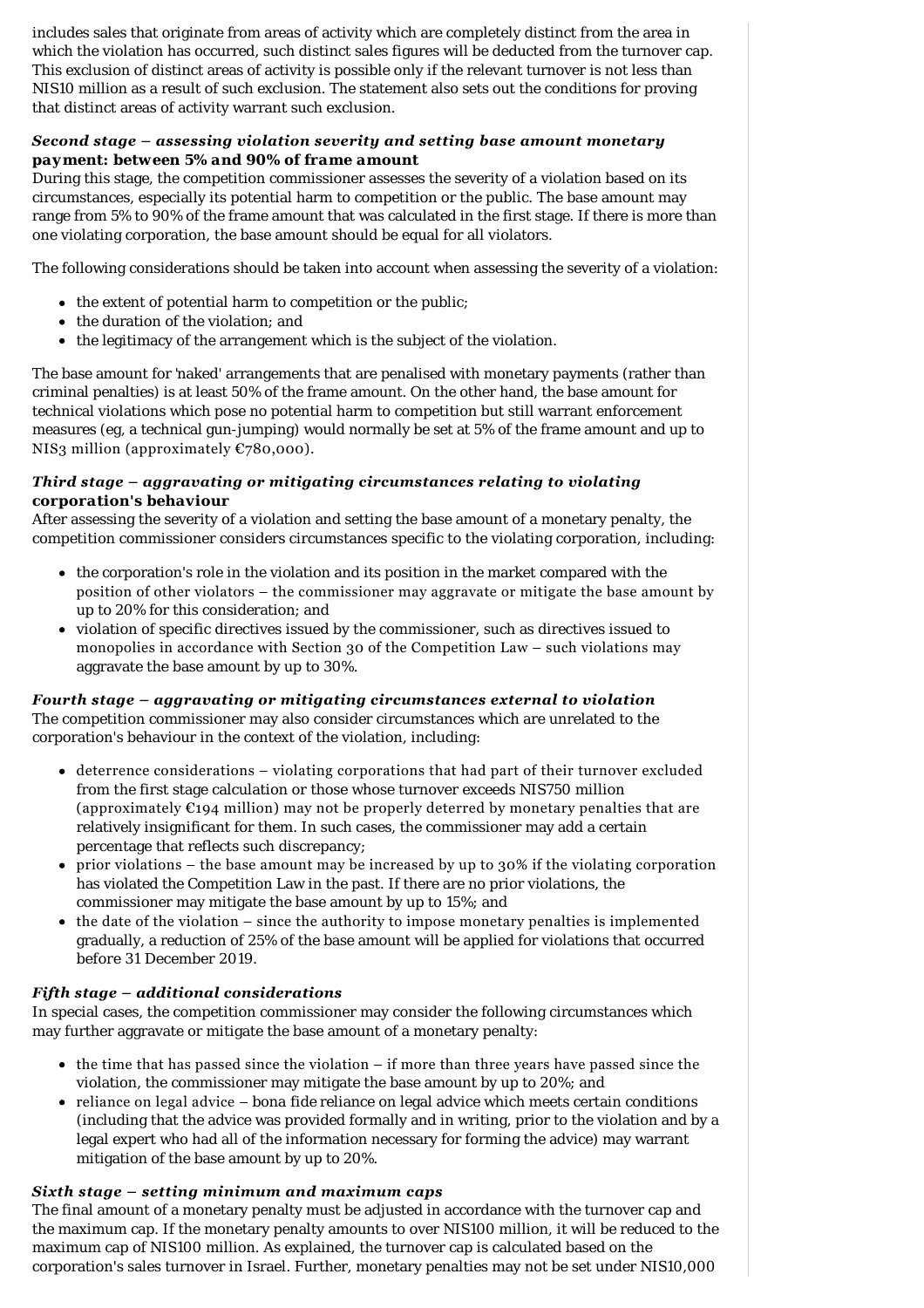includes sales that originate from areas of activity which are completely distinct from the area in which the violation has occurred, such distinct sales figures will be deducted from the turnover cap. This exclusion of distinct areas of activity is possible only if the relevant turnover is not less than NIS10 million as a result of such exclusion. The statement also sets out the conditions for proving that distinct areas of activity warrant such exclusion.

## *Second stage – assessing violation severity and setting base amount monetary payment: between 5% and 90% of frame amount*

During this stage, the competition commissioner assesses the severity of a violation based on its circumstances, especially its potential harm to competition or the public. The base amount may range from 5% to 90% of the frame amount that was calculated in the first stage. If there is more than one violating corporation, the base amount should be equal for all violators.

The following considerations should be taken into account when assessing the severity of a violation:

- $\bullet$  the extent of potential harm to competition or the public;
- the duration of the violation: and
- $\bullet$  the legitimacy of the arrangement which is the subject of the violation.

The base amount for 'naked' arrangements that are penalised with monetary payments (rather than criminal penalties) is at least 50% of the frame amount. On the other hand, the base amount for technical violations which pose no potential harm to competition but still warrant enforcement measures (eg, a technical gun-jumping) would normally be set at 5% of the frame amount and up to NIS3 million (approximately €780,000).

## *Third stage – aggravating or mitigating circumstances relating to violating corporation's behaviour*

After assessing the severity of a violation and setting the base amount of a monetary penalty, the competition commissioner considers circumstances specific to the violating corporation, including:

- the corporation's role in the violation and its position in the market compared with the position of other violators – the commissioner may aggravate or mitigate the base amount by up to 20% for this consideration; and
- violation of specific directives issued by the commissioner, such as directives issued to monopolies in accordance with Section 30 of the Competition Law – such violations may aggravate the base amount by up to 30%.

## *Fourth stage – aggravating or mitigating circumstances external to violation*

The competition commissioner may also consider circumstances which are unrelated to the corporation's behaviour in the context of the violation, including:

- deterrence considerations violating corporations that had part of their turnover excluded from the first stage calculation or those whose turnover exceeds NIS750 million (approximately  $\epsilon_{194}$  million) may not be properly deterred by monetary penalties that are relatively insignificant for them. In such cases, the commissioner may add a certain percentage that reflects such discrepancy;
- $\bullet$  prior violations the base amount may be increased by up to 30% if the violating corporation has violated the Competition Law in the past. If there are no prior violations, the commissioner may mitigate the base amount by up to 15%; and
- the date of the violation since the authority to impose monetary penalties is implemented gradually, a reduction of 25% of the base amount will be applied for violations that occurred before 31 December 2019.

## *Fifth stage – additional considerations*

In special cases, the competition commissioner may consider the following circumstances which may further aggravate or mitigate the base amount of a monetary penalty:

- the time that has passed since the violation if more than three years have passed since the violation, the commissioner may mitigate the base amount by up to 20%; and
- reliance on legal advice *bona fide* reliance on legal advice which meets certain conditions (including that the advice was provided formally and in writing, prior to the violation and by a legal expert who had all of the information necessary for forming the advice) may warrant mitigation of the base amount by up to 20%.

## *Sixth stage – setting minimum and maximum caps*

The final amount of a monetary penalty must be adjusted in accordance with the turnover cap and the maximum cap. If the monetary penalty amounts to over NIS100 million, it will be reduced to the maximum cap of NIS100 million. As explained, the turnover cap is calculated based on the corporation's sales turnover in Israel. Further, monetary penalties may not be set under NIS10,000